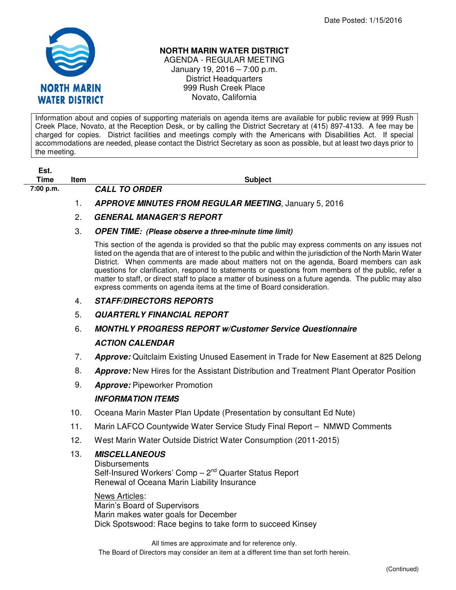

## **NORTH MARIN WATER DISTRICT**

AGENDA - REGULAR MEETING January 19, 2016 – 7:00 p.m. District Headquarters 999 Rush Creek Place Novato, California

Information about and copies of supporting materials on agenda items are available for public review at 999 Rush Creek Place, Novato, at the Reception Desk, or by calling the District Secretary at (415) 897-4133. A fee may be charged for copies. District facilities and meetings comply with the Americans with Disabilities Act. If special accommodations are needed, please contact the District Secretary as soon as possible, but at least two days prior to the meeting.

| ESI. |   |
|------|---|
| Time | H |
|      |   |

**The Internal Contract of the Internal Contract of Subject 7:00 p.m. CALL TO ORDER** 

- 
- 1. **APPROVE MINUTES FROM REGULAR MEETING**, January 5, 2016
- 2. **GENERAL MANAGER'S REPORT**
- 3. **OPEN TIME: (Please observe a three-minute time limit)**

This section of the agenda is provided so that the public may express comments on any issues not listed on the agenda that are of interest to the public and within the jurisdiction of the North Marin Water District. When comments are made about matters not on the agenda, Board members can ask questions for clarification, respond to statements or questions from members of the public, refer a matter to staff, or direct staff to place a matter of business on a future agenda. The public may also express comments on agenda items at the time of Board consideration.

- 4. **STAFF/DIRECTORS REPORTS**
- 5. **QUARTERLY FINANCIAL REPORT**

## 6. **MONTHLY PROGRESS REPORT w/Customer Service Questionnaire ACTION CALENDAR**

- 7. **Approve:** Quitclaim Existing Unused Easement in Trade for New Easement at 825 Delong
- 8. **Approve:** New Hires for the Assistant Distribution and Treatment Plant Operator Position
- 9. **Approve:** Pipeworker Promotion

## **INFORMATION ITEMS**

- 10. Oceana Marin Master Plan Update (Presentation by consultant Ed Nute)
- 11. Marin LAFCO Countywide Water Service Study Final Report NMWD Comments
- 12. West Marin Water Outside District Water Consumption (2011-2015)

## 13. **MISCELLANEOUS**

**Disbursements** Self-Insured Workers' Comp  $-2^{nd}$  Quarter Status Report Renewal of Oceana Marin Liability Insurance

News Articles: Marin's Board of Supervisors Marin makes water goals for December Dick Spotswood: Race begins to take form to succeed Kinsey

All times are approximate and for reference only. The Board of Directors may consider an item at a different time than set forth herein.